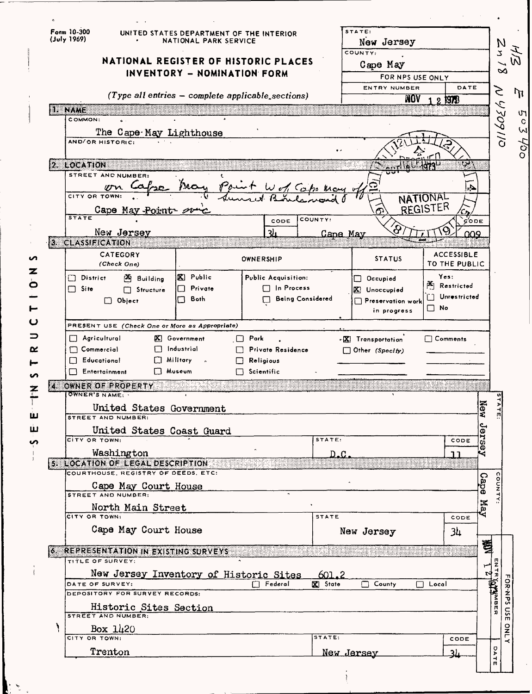| Form 10-300<br>(July 1969) |                                                                         | NATIONAL PARK SERVICE                          | UNITED STATES DEPARTMENT OF THE INTERIOR          | STATE:<br>New Jersey                                 |                          | N               |
|----------------------------|-------------------------------------------------------------------------|------------------------------------------------|---------------------------------------------------|------------------------------------------------------|--------------------------|-----------------|
|                            |                                                                         |                                                |                                                   | COUNTY:                                              |                          |                 |
|                            |                                                                         |                                                | NATIONAL REGISTER OF HISTORIC PLACES              | Cape May<br>FOR NPS USE ONLY                         |                          |                 |
|                            |                                                                         | INVENTORY - NOMINATION FORM                    |                                                   |                                                      |                          |                 |
|                            |                                                                         |                                                |                                                   | ENTRY NUMBER                                         |                          | DATE            |
|                            |                                                                         |                                                | (Type all entries - complete applicable_sections) |                                                      | NOV<br>121978            | S               |
| a an                       |                                                                         |                                                |                                                   |                                                      |                          |                 |
| COMMON:                    |                                                                         |                                                |                                                   |                                                      |                          | <b>0/1602/1</b> |
|                            | The Cape May Lighthouse                                                 |                                                |                                                   |                                                      |                          |                 |
|                            | AND/OR HISTORIC:                                                        |                                                |                                                   |                                                      |                          |                 |
|                            |                                                                         |                                                |                                                   |                                                      |                          |                 |
| 2. LOCATION                | STREET AND NUMBER:                                                      |                                                |                                                   |                                                      |                          |                 |
|                            |                                                                         |                                                |                                                   |                                                      |                          |                 |
| CITY OR TOWN:              |                                                                         |                                                |                                                   |                                                      | <b>NATIONAL</b>          | Ą               |
|                            | Cape May Point 20                                                       |                                                |                                                   |                                                      | REGISTER                 |                 |
| <b>STATE</b>               |                                                                         |                                                | COUNTY:<br>CODE                                   |                                                      |                          | CODE            |
|                            | New Jersey                                                              |                                                | 31                                                | <u>Cape May</u>                                      |                          | ററ              |
| 3. CLASSIFICATION          |                                                                         |                                                |                                                   |                                                      |                          |                 |
|                            | CATEGORY                                                                |                                                |                                                   |                                                      | <b>ACCESSIBLE</b>        |                 |
|                            | (Check One)                                                             |                                                | OWNERSHIP                                         | <b>STATUS</b>                                        | TO THE PUBLIC            |                 |
| <b>District</b><br>UT.     | Building                                                                | <b>X</b> Public                                | Public Acquisition:                               | Occupied                                             | Yes:                     |                 |
| $\Box$ Site                | Structure                                                               | $\Box$ Private                                 | $\Box$ In Process                                 | X Unoccupied                                         | <sup>25</sup> Restricted |                 |
|                            | $\Box$ Object                                                           | Both<br>ГΙ                                     | <b>Being Considered</b>                           | $\Box$ Preservation work                             | n 1                      | Unrestricted    |
|                            |                                                                         |                                                |                                                   | in progress                                          | $\Box$ No.               |                 |
|                            |                                                                         |                                                |                                                   |                                                      |                          |                 |
|                            |                                                                         | PRESENT USE (Check One or More as Appropriate) |                                                   |                                                      |                          |                 |
| $\Box$ Agricultural        |                                                                         | $[K]$ Government                               | $\Box$ Park                                       |                                                      | 7 Comments               |                 |
| $\Box$ Commercial          | П                                                                       | industrial                                     | <b>Private Residence</b>                          | <b>EX</b> ) Transportation<br>$\Box$ Other (Specify) |                          |                 |
| $\Box$ Educational         | u.                                                                      | Military                                       | Religious<br>$\Box$                               |                                                      |                          |                 |
|                            | $\Box$ Entertainment                                                    | □ Museum                                       | $\Box$ Scientific                                 |                                                      |                          |                 |
| Z.                         | OWNER OF PROPERTY                                                       |                                                |                                                   |                                                      |                          |                 |
| <b>OWNER'S NAME:</b>       |                                                                         |                                                |                                                   |                                                      |                          |                 |
|                            | United States Government                                                |                                                |                                                   |                                                      |                          | Þ               |
|                            | <b>STREET AND NUMBER:</b>                                               |                                                |                                                   |                                                      |                          | New<br>판        |
|                            | United States Coast Guard                                               |                                                |                                                   |                                                      |                          | င္ပ             |
| CITY OR TOWN:              |                                                                         |                                                | STATE:                                            |                                                      |                          | ដូ<br>CODE<br>Ф |
|                            | Washington                                                              |                                                |                                                   | D.C.                                                 | ר ר                      | ч               |
|                            | 5. LOCATION OF LEGAL DESCRIPTION<br>COURTHOUSE, REGISTRY OF DEEDS, ETC: |                                                |                                                   |                                                      |                          |                 |
|                            |                                                                         |                                                |                                                   |                                                      |                          |                 |
|                            | <b>Cape May Court House</b>                                             |                                                |                                                   |                                                      |                          | Cape            |
|                            |                                                                         |                                                |                                                   |                                                      |                          | COUNTY<br>Уá    |
| CITY OR TOWNS              | North Main Street                                                       |                                                | <b>STATE</b>                                      |                                                      |                          | ч<br>CODE       |
|                            | Cape May Court House                                                    |                                                |                                                   | New Jersey                                           |                          |                 |
|                            |                                                                         |                                                |                                                   |                                                      | 34                       |                 |
|                            | 6. REPRESENTATION IN EXISTING SURVEYS                                   |                                                |                                                   |                                                      | <u> Termini ya m</u>     | 乽               |
|                            | TITLE OF SURVEY:                                                        |                                                |                                                   |                                                      |                          |                 |
|                            | New Jersey Inventory of Historic Sites                                  |                                                | - 601.2                                           |                                                      |                          | ENTR:<br>r4     |
|                            | DATE OF SURVEY:<br>DEPOSITORY FOR SURVEY RECORDS:                       |                                                | $\Box$ Federal<br><b>X</b> State                  | <b>County</b>                                        | $\Box$ Local             |                 |
|                            |                                                                         |                                                |                                                   |                                                      |                          |                 |
|                            | Historic Sites Section<br>STREET AND NUMBER:                            |                                                |                                                   |                                                      |                          | <b>ATAMER</b>   |
|                            |                                                                         |                                                |                                                   |                                                      |                          |                 |
| ١<br>CITY OR TOWN:         | Box $1420$                                                              |                                                | STATE:                                            |                                                      |                          | CODE            |
|                            | Trenton                                                                 |                                                |                                                   | New Jersey                                           | ر 3                      | O<br>Þ          |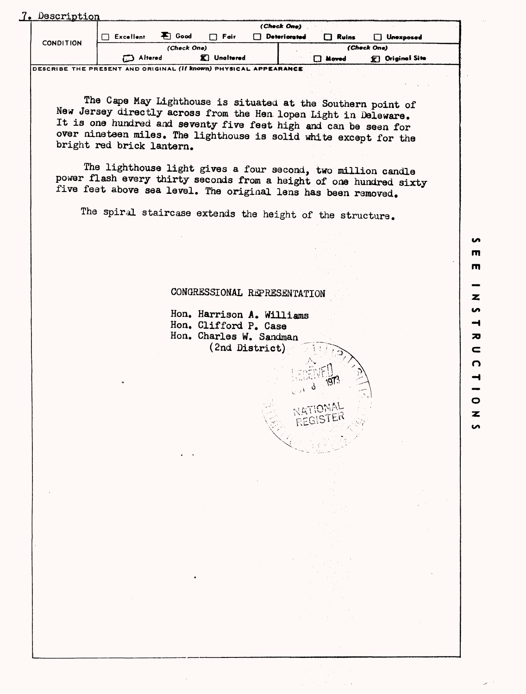| Description<br><b>CONDITION</b> |                | (Check One)                |                  |                     |              |                            |  |
|---------------------------------|----------------|----------------------------|------------------|---------------------|--------------|----------------------------|--|
|                                 | Excellent      | $\blacktriangleright$ Good | $\Box$ Fair      | <b>Deteriorated</b> | Ruins        | <b>Unexposed</b><br>. .    |  |
|                                 | (Check One)    |                            |                  |                     | (Check One)  |                            |  |
|                                 | <b>Altered</b> |                            | <b>Unaltered</b> |                     | $\Box$ Moved | $\mathbb{F}$ Original Site |  |

The Cape May Lighthouse is situated at the Southern point of New Jersey directly across from the Hen lopen Light in Deleware. It is one hundred and seventy five feet high and can be seen for over nineteen miles. The lighthouse is solid white except for the bright red brick lantern.

The lighthouse light gives a four second, two million candle power flash every thirty seconds from a height of one hundred sixty five feet above sea level. The original lens has been removed.

The spiral staircase extends the height of the structure.

## CONGRESSIONAL REPRESENTATION

Hon. Harrison A. Williams Hon. Clifford P. Case Hon. Charles W. Sandman  $(2nd District)$  C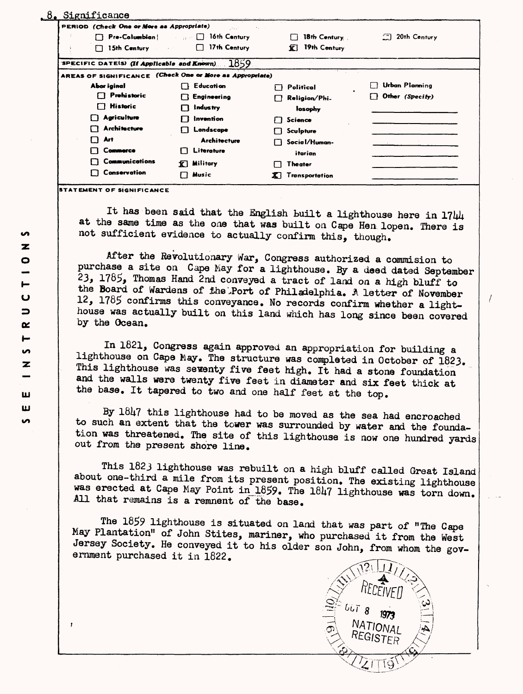| PERIOD (Check One or More as Appropriate)                | Links C<br>29.000                          |                       |                     |
|----------------------------------------------------------|--------------------------------------------|-----------------------|---------------------|
|                                                          | $Pre-Column$ $\Box$ 16th Century           | $18th$ Century        | $\Box$ 20th Century |
| 15th Century                                             | $\Box$ 17th Century<br>$\omega_{\rm{eff}}$ | 19th Century<br>X.    |                     |
| SPECIFIC DATES) (If Applicable and Known)                | 1859                                       |                       |                     |
| AREAS OF SIGNIFICANCE (Check One or More as Appropriate) |                                            |                       |                     |
| Abor iginal                                              | Education                                  | Political             | Urban Planning      |
| $\Box$ Prohistoric                                       | Engineering                                | Religion/Phi.         | Other (Specity)     |
| <b>Historic</b><br>. .                                   | Industry                                   | losophy               |                     |
| <b>Agriculture</b>                                       | Invention                                  | Science               |                     |
| <b>Architecture</b>                                      | Landscape                                  | Sculpture             |                     |
| Art<br>. .                                               | <b>Architecture</b>                        | Social/Human-         |                     |
| Commerce                                                 | Literature                                 | itarian               |                     |
| Communications                                           | Military<br>п                              | Theater               |                     |
| Conservation                                             | Music                                      | Transportation<br>X I |                     |

**STATEMENT OF SIGNIFICANCE**

It has been said that the English built a lighthouse here in  $1744$ at the same time as the one that was built on Cape Hen, lopen. There is not sufficient evidence to actually confirm this, though.

After the Revolutionary War, Congress authorized a commision to purchase a site on Cape May for a lighthouse. By a deed dated September  $23$ ,  $1785$ , Thomas Hand 2nd conveyed a tract of land on a high bluff to the Board of Wardens of She.Port of Philadelphia. A letter of November 12, 1785 confirms this conveyance. No records confirm whether a lighthouse was actually built on this land which has long since been covered by the Ocean.

In 1821, Congress again approved an appropriation for building a lighthouse on Cape May. The structure was completed in October of 1823. This lighthouse was seventy five feet high. It had a stone foundation and the walls were twenty five feet in diameter and six feet thick at the base. It tapered to two and one half feet at the top.

By  $1847$  this lighthouse had to be moved as the sea had encroached to such an extent that the tower was surrounded by water and the foundation was threatened. The site of this lighthouse is now one hundred yards out from the present shore line.

This 1823 lighthouse was rebuilt on a high bluff called Great Island about one-third a mile from its present position. The existing lighthouse was erected at Cape May Point in 1859. The 1847 lighthouse was torn down. All that remains is a remnent of the base.

The 1859 lighthouse is situated on land that was part of "The Cape May Plantation" of John Stites, mariner, who purchased it from the West Jersey Society. He conveyed it to his older son John, from whom the government purchased it in 1822.



 $\overline{\mathbf{z}}$  $\bullet$  $\mathbf \omega$  $\Rightarrow$  $\alpha$ Н **i**  $\overline{\mathbf{z}}$ ш ш  $\mathbf{v}$ 

**in**